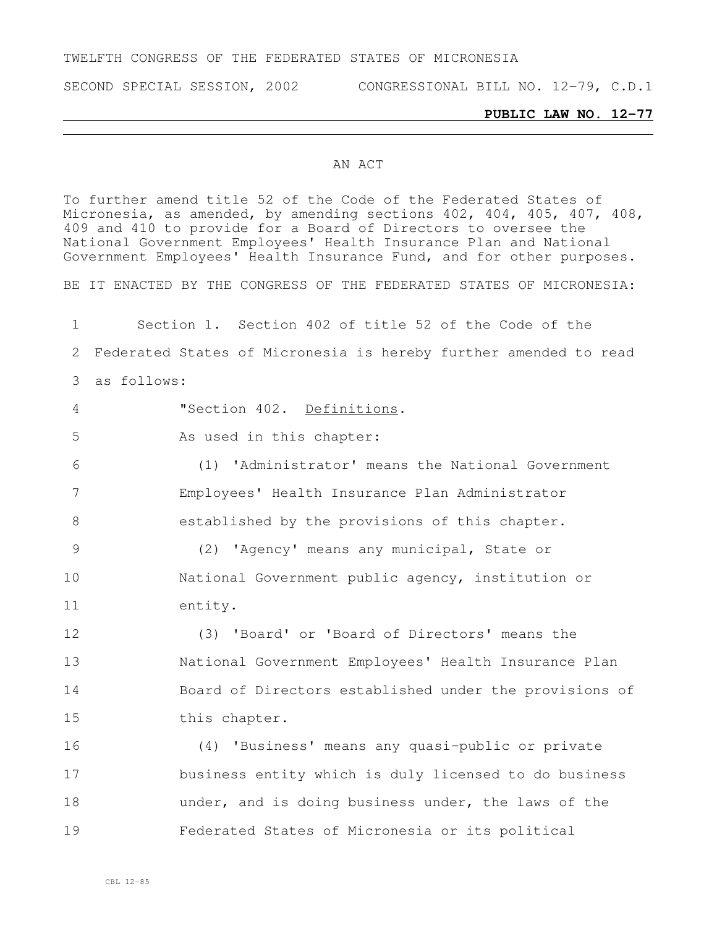### TWELFTH CONGRESS OF THE FEDERATED STATES OF MICRONESIA

SECOND SPECIAL SESSION, 2002 CONGRESSIONAL BILL NO. 12-79, C.D.1

#### **PUBLIC LAW NO. 12-77**

#### AN ACT

To further amend title 52 of the Code of the Federated States of Micronesia, as amended, by amending sections 402, 404, 405, 407, 408, and 410 to provide for a Board of Directors to oversee the National Government Employees' Health Insurance Plan and National Government Employees' Health Insurance Fund, and for other purposes. BE IT ENACTED BY THE CONGRESS OF THE FEDERATED STATES OF MICRONESIA: Section 1. Section 402 of title 52 of the Code of the Federated States of Micronesia is hereby further amended to read as follows: "Section 402. Definitions. 5 As used in this chapter: (1) 'Administrator' means the National Government Employees' Health Insurance Plan Administrator established by the provisions of this chapter. (2) 'Agency' means any municipal, State or National Government public agency, institution or entity. (3) 'Board' or 'Board of Directors' means the National Government Employees' Health Insurance Plan Board of Directors established under the provisions of this chapter. (4) 'Business' means any quasi-public or private business entity which is duly licensed to do business under, and is doing business under, the laws of the

Federated States of Micronesia or its political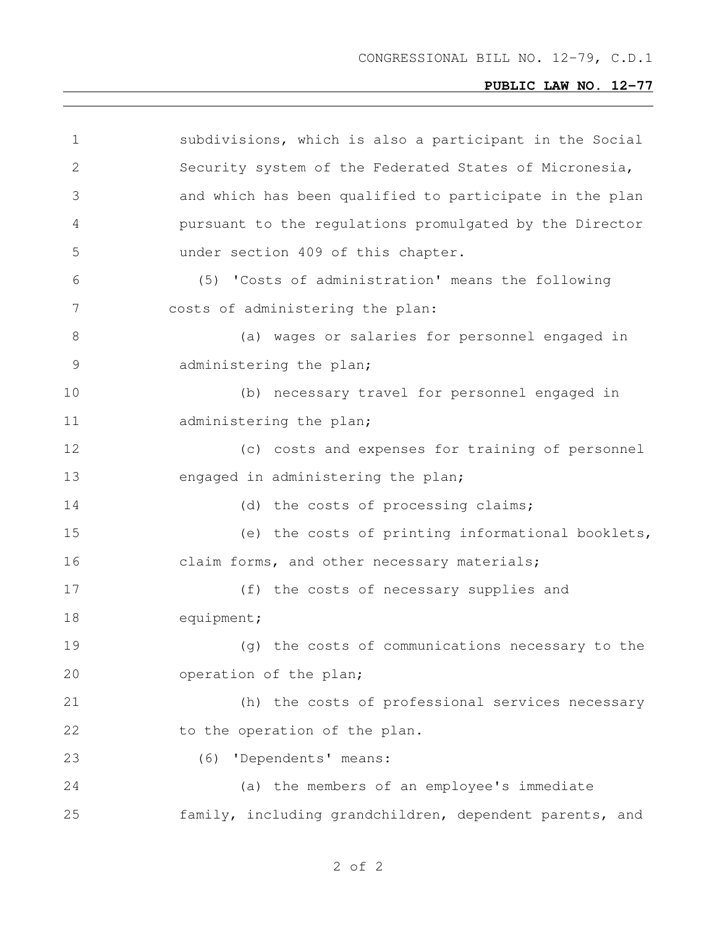| $\mathbf 1$  | subdivisions, which is also a participant in the Social |  |  |  |  |
|--------------|---------------------------------------------------------|--|--|--|--|
| $\mathbf{2}$ | Security system of the Federated States of Micronesia,  |  |  |  |  |
| 3            | and which has been qualified to participate in the plan |  |  |  |  |
| 4            | pursuant to the regulations promulgated by the Director |  |  |  |  |
| 5            | under section 409 of this chapter.                      |  |  |  |  |
| 6            | (5) 'Costs of administration' means the following       |  |  |  |  |
| 7            | costs of administering the plan:                        |  |  |  |  |
| 8            | (a) wages or salaries for personnel engaged in          |  |  |  |  |
| 9            | administering the plan;                                 |  |  |  |  |
| 10           | (b) necessary travel for personnel engaged in           |  |  |  |  |
| 11           | administering the plan;                                 |  |  |  |  |
| 12           | (c) costs and expenses for training of personnel        |  |  |  |  |
| 13           | engaged in administering the plan;                      |  |  |  |  |
| 14           | (d) the costs of processing claims;                     |  |  |  |  |
| 15           | (e) the costs of printing informational booklets,       |  |  |  |  |
| 16           | claim forms, and other necessary materials;             |  |  |  |  |
| 17           | (f) the costs of necessary supplies and                 |  |  |  |  |
| 18           | equipment;                                              |  |  |  |  |
| 19           | (q) the costs of communications necessary to the        |  |  |  |  |
| 20           | operation of the plan;                                  |  |  |  |  |
| 21           | (h) the costs of professional services necessary        |  |  |  |  |
| 22           | to the operation of the plan.                           |  |  |  |  |
| 23           | (6) 'Dependents' means:                                 |  |  |  |  |
| 24           | (a) the members of an employee's immediate              |  |  |  |  |
| 25           | family, including grandchildren, dependent parents, and |  |  |  |  |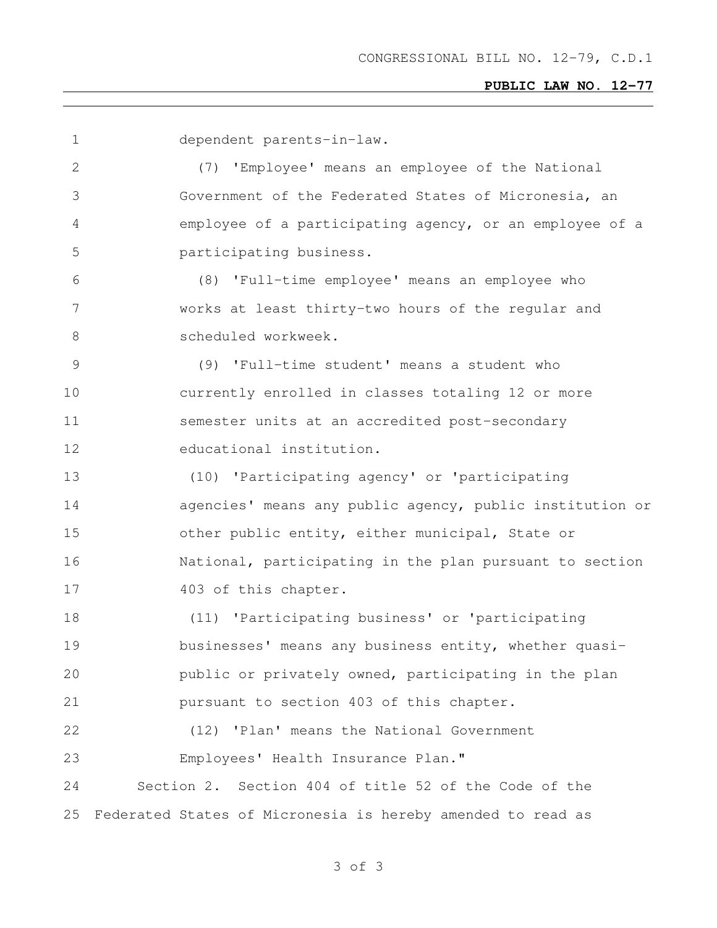| 1            | dependent parents-in-law.                                   |
|--------------|-------------------------------------------------------------|
| $\mathbf{2}$ | (7) 'Employee' means an employee of the National            |
| 3            | Government of the Federated States of Micronesia, an        |
| 4            | employee of a participating agency, or an employee of a     |
| 5            | participating business.                                     |
| 6            | (8) 'Full-time employee' means an employee who              |
| 7            | works at least thirty-two hours of the regular and          |
| $8\,$        | scheduled workweek.                                         |
| 9            | (9) 'Full-time student' means a student who                 |
| 10           | currently enrolled in classes totaling 12 or more           |
| 11           | semester units at an accredited post-secondary              |
| 12           | educational institution.                                    |
| 13           | (10) 'Participating agency' or 'participating               |
| 14           | agencies' means any public agency, public institution or    |
| 15           | other public entity, either municipal, State or             |
| 16           | National, participating in the plan pursuant to section     |
| 17           | 403 of this chapter.                                        |
| 18           | (11) 'Participating business' or 'participating             |
| 19           | businesses' means any business entity, whether quasi-       |
| 20           | public or privately owned, participating in the plan        |
| 21           | pursuant to section 403 of this chapter.                    |
| 22           | (12) 'Plan' means the National Government                   |
| 23           | Employees' Health Insurance Plan."                          |
| 24           | Section 2. Section 404 of title 52 of the Code of the       |
| 25           | Federated States of Micronesia is hereby amended to read as |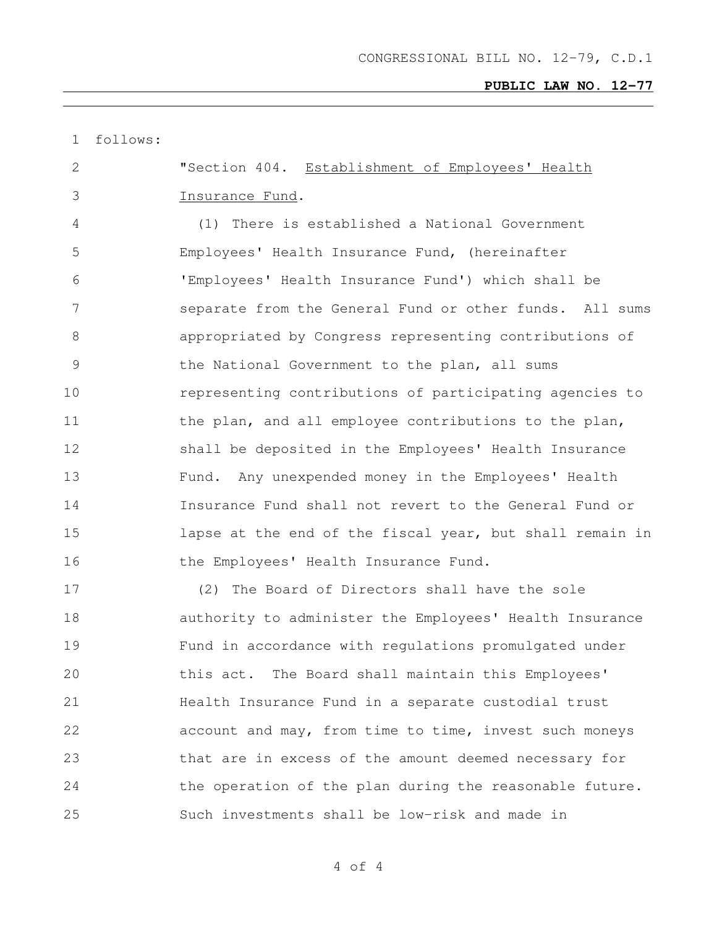| $\mathbf 1$    | follows: |                                                          |
|----------------|----------|----------------------------------------------------------|
| 2              |          | "Section 404. Establishment of Employees' Health         |
| 3              |          | Insurance Fund.                                          |
| 4              |          | There is established a National Government<br>(1)        |
| 5              |          | Employees' Health Insurance Fund, (hereinafter           |
| 6              |          | 'Employees' Health Insurance Fund') which shall be       |
| 7              |          | separate from the General Fund or other funds. All sums  |
| 8              |          | appropriated by Congress representing contributions of   |
| $\overline{9}$ |          | the National Government to the plan, all sums            |
| 10             |          | representing contributions of participating agencies to  |
| 11             |          | the plan, and all employee contributions to the plan,    |
| 12             |          | shall be deposited in the Employees' Health Insurance    |
| 13             |          | Fund. Any unexpended money in the Employees' Health      |
| 14             |          | Insurance Fund shall not revert to the General Fund or   |
| 15             |          | lapse at the end of the fiscal year, but shall remain in |
| 16             |          | the Employees' Health Insurance Fund.                    |
| 17             |          | (2)<br>The Board of Directors shall have the sole        |
| 18             |          | authority to administer the Employees' Health Insurance  |
| 19             |          | Fund in accordance with regulations promulgated under    |
| 20             |          | this act. The Board shall maintain this Employees'       |
| 21             |          | Health Insurance Fund in a separate custodial trust      |
| 22             |          | account and may, from time to time, invest such moneys   |
| 23             |          | that are in excess of the amount deemed necessary for    |
| 24             |          | the operation of the plan during the reasonable future.  |
| 25             |          | Such investments shall be low-risk and made in           |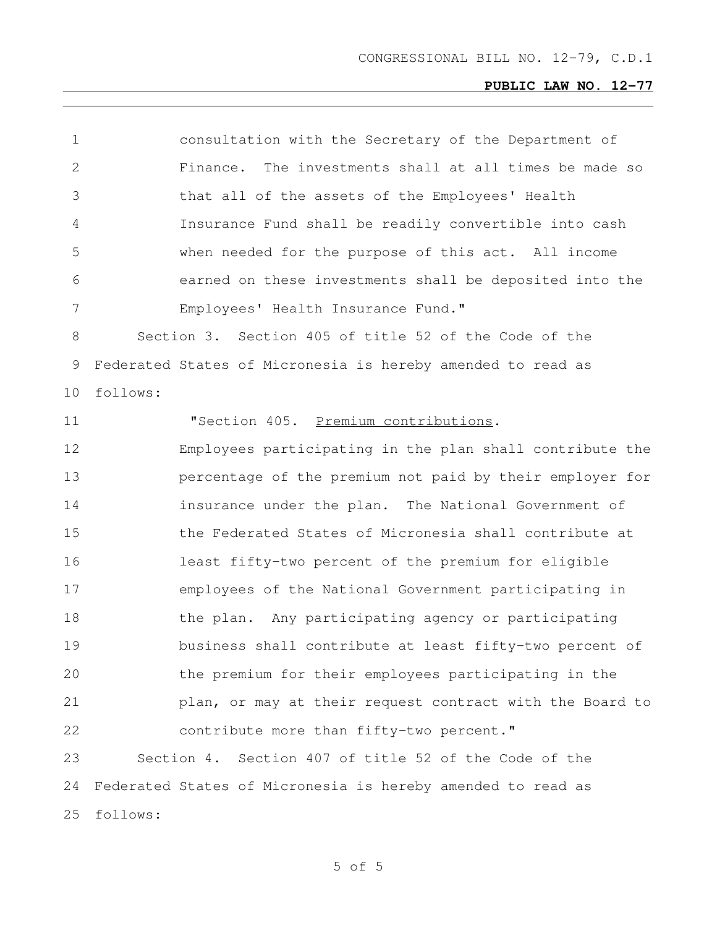| 1              | consultation with the Secretary of the Department of        |
|----------------|-------------------------------------------------------------|
| $\overline{2}$ | The investments shall at all times be made so<br>Finance.   |
| 3              | that all of the assets of the Employees' Health             |
| 4              | Insurance Fund shall be readily convertible into cash       |
| 5              | when needed for the purpose of this act. All income         |
| 6              | earned on these investments shall be deposited into the     |
| 7              | Employees' Health Insurance Fund."                          |
| 8              | Section 3. Section 405 of title 52 of the Code of the       |
| $\mathcal{G}$  | Federated States of Micronesia is hereby amended to read as |
| 10             | follows:                                                    |
| 11             | "Section 405. Premium contributions.                        |
| 12             | Employees participating in the plan shall contribute the    |
| 13             | percentage of the premium not paid by their employer for    |
| 14             | insurance under the plan. The National Government of        |
| 15             | the Federated States of Micronesia shall contribute at      |
| 16             | least fifty-two percent of the premium for eligible         |
| 17             | employees of the National Government participating in       |
| 18             | the plan. Any participating agency or participating         |
| 19             | business shall contribute at least fifty-two percent of     |
| 20             | the premium for their employees participating in the        |
| 21             | plan, or may at their request contract with the Board to    |
| 22             | contribute more than fifty-two percent."                    |
| 23             | Section 4. Section 407 of title 52 of the Code of the       |
| 24             | Federated States of Micronesia is hereby amended to read as |
| 25             | follows:                                                    |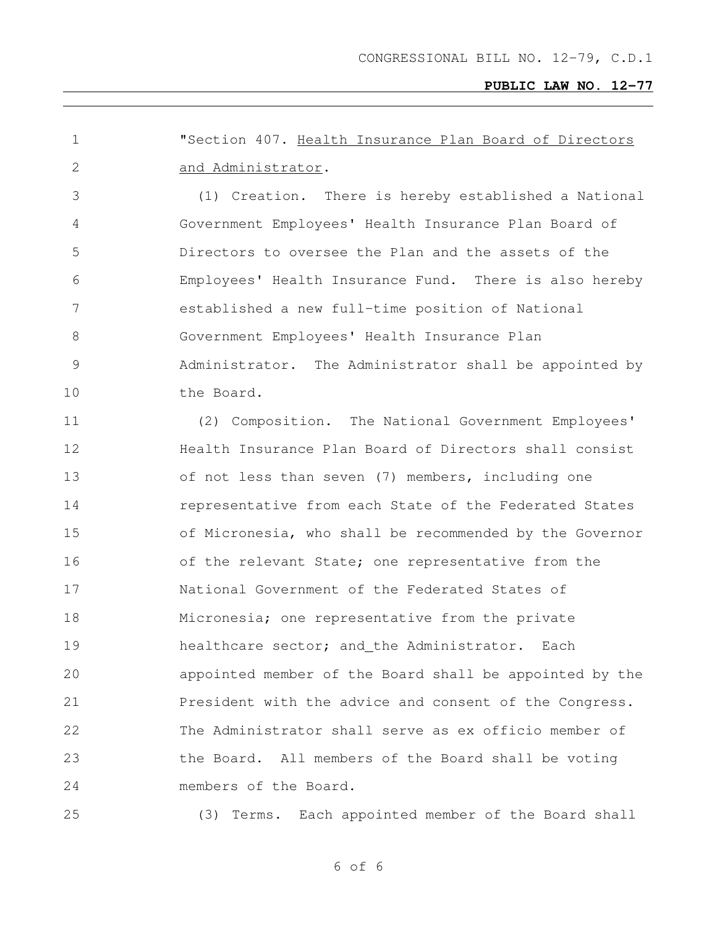"Section 407. Health Insurance Plan Board of Directors and Administrator. (1) Creation. There is hereby established a National Government Employees' Health Insurance Plan Board of Directors to oversee the Plan and the assets of the Employees' Health Insurance Fund. There is also hereby established a new full-time position of National Government Employees' Health Insurance Plan Administrator. The Administrator shall be appointed by 10 the Board. (2) Composition. The National Government Employees' Health Insurance Plan Board of Directors shall consist of not less than seven (7) members, including one **representative from each State of the Federated States**  of Micronesia, who shall be recommended by the Governor 16 of the relevant State; one representative from the National Government of the Federated States of Micronesia; one representative from the private 19 healthcare sector; and the Administrator. Each appointed member of the Board shall be appointed by the 21 President with the advice and consent of the Congress. The Administrator shall serve as ex officio member of the Board. All members of the Board shall be voting members of the Board.

(3) Terms. Each appointed member of the Board shall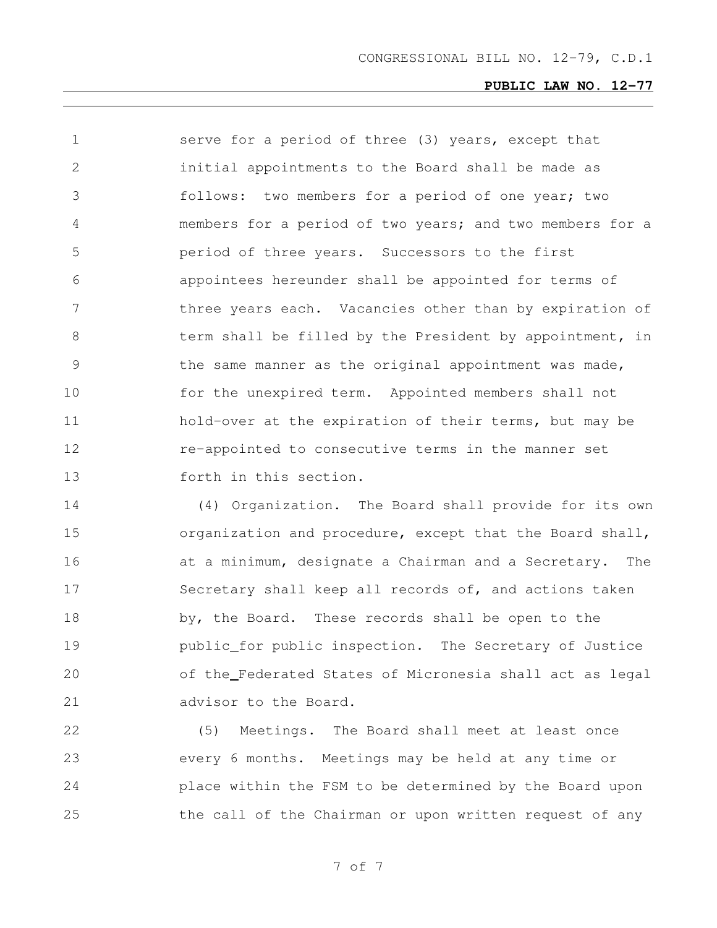serve for a period of three (3) years, except that initial appointments to the Board shall be made as follows: two members for a period of one year; two members for a period of two years; and two members for a period of three years. Successors to the first appointees hereunder shall be appointed for terms of 7 three years each. Vacancies other than by expiration of 8 term shall be filled by the President by appointment, in the same manner as the original appointment was made, for the unexpired term. Appointed members shall not hold-over at the expiration of their terms, but may be **12 re-appointed to consecutive terms in the manner set** forth in this section.

 (4) Organization. The Board shall provide for its own organization and procedure, except that the Board shall, **at a minimum, designate a Chairman and a Secretary.** The Secretary shall keep all records of, and actions taken 18 by, the Board. These records shall be open to the public for public inspection. The Secretary of Justice of the Federated States of Micronesia shall act as legal 21 advisor to the Board.

 (5) Meetings. The Board shall meet at least once every 6 months. Meetings may be held at any time or place within the FSM to be determined by the Board upon 25 the call of the Chairman or upon written request of any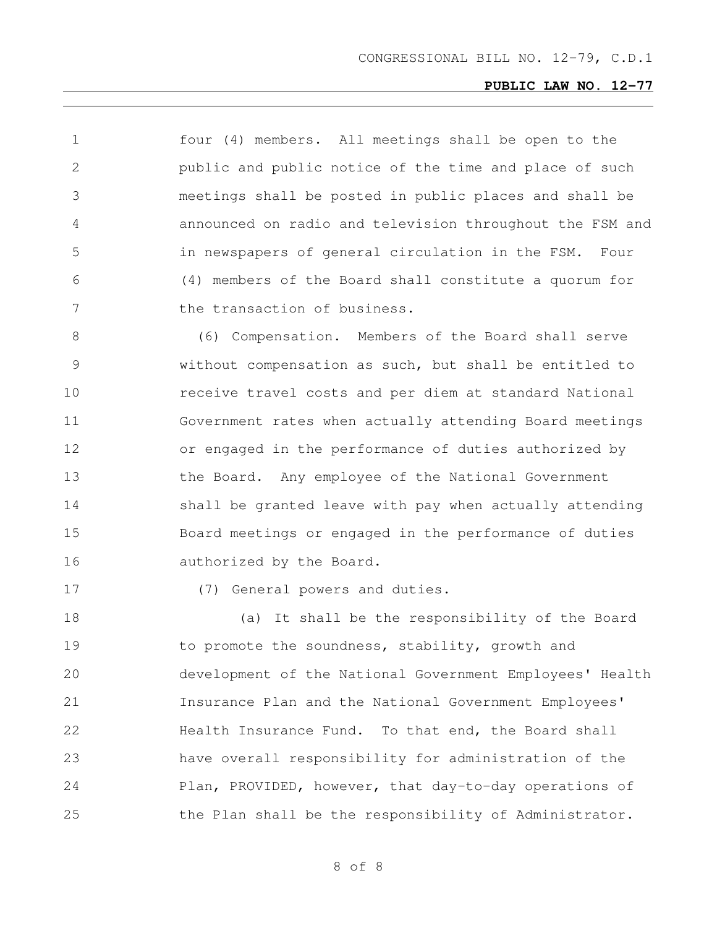four (4) members. All meetings shall be open to the public and public notice of the time and place of such meetings shall be posted in public places and shall be announced on radio and television throughout the FSM and in newspapers of general circulation in the FSM. Four (4) members of the Board shall constitute a quorum for 7 the transaction of business.

 (6) Compensation. Members of the Board shall serve without compensation as such, but shall be entitled to receive travel costs and per diem at standard National Government rates when actually attending Board meetings or engaged in the performance of duties authorized by the Board. Any employee of the National Government 14 shall be granted leave with pay when actually attending Board meetings or engaged in the performance of duties 16 authorized by the Board.

(7) General powers and duties.

 (a) It shall be the responsibility of the Board to promote the soundness, stability, growth and development of the National Government Employees' Health Insurance Plan and the National Government Employees' **Health Insurance Fund.** To that end, the Board shall have overall responsibility for administration of the Plan, PROVIDED, however, that day-to-day operations of 25 the Plan shall be the responsibility of Administrator.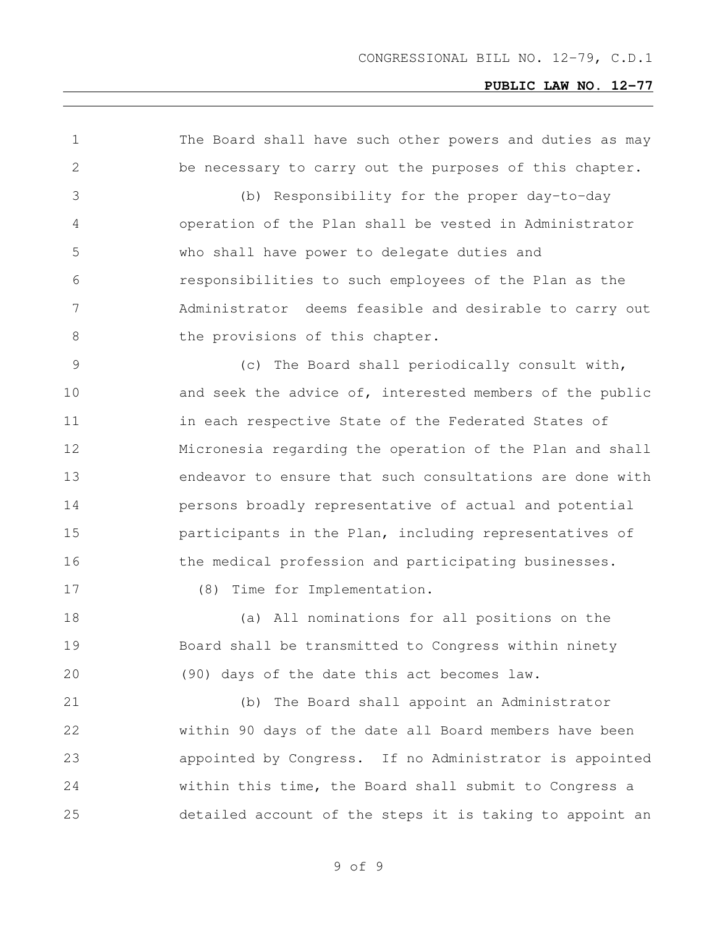| 1             | The Board shall have such other powers and duties as may |
|---------------|----------------------------------------------------------|
| $\mathbf{2}$  | be necessary to carry out the purposes of this chapter.  |
| 3             | (b) Responsibility for the proper day-to-day             |
| 4             | operation of the Plan shall be vested in Administrator   |
| 5             | who shall have power to delegate duties and              |
| 6             | responsibilities to such employees of the Plan as the    |
| 7             | Administrator deems feasible and desirable to carry out  |
| $8\,$         | the provisions of this chapter.                          |
| $\mathcal{G}$ | (c) The Board shall periodically consult with,           |
| 10            | and seek the advice of, interested members of the public |
| 11            | in each respective State of the Federated States of      |
| 12            | Micronesia regarding the operation of the Plan and shall |
| 13            | endeavor to ensure that such consultations are done with |
| 14            | persons broadly representative of actual and potential   |
| 15            | participants in the Plan, including representatives of   |
| 16            | the medical profession and participating businesses.     |
| 17            | Time for Implementation.<br>(8)                          |
| 18            | All nominations for all positions on the<br>(a)          |
| 19            | Board shall be transmitted to Congress within ninety     |
| 20            | (90) days of the date this act becomes law.              |
| 21            | (b) The Board shall appoint an Administrator             |
| 22            | within 90 days of the date all Board members have been   |
| 23            | appointed by Congress. If no Administrator is appointed  |
| 24            | within this time, the Board shall submit to Congress a   |
| 25            | detailed account of the steps it is taking to appoint an |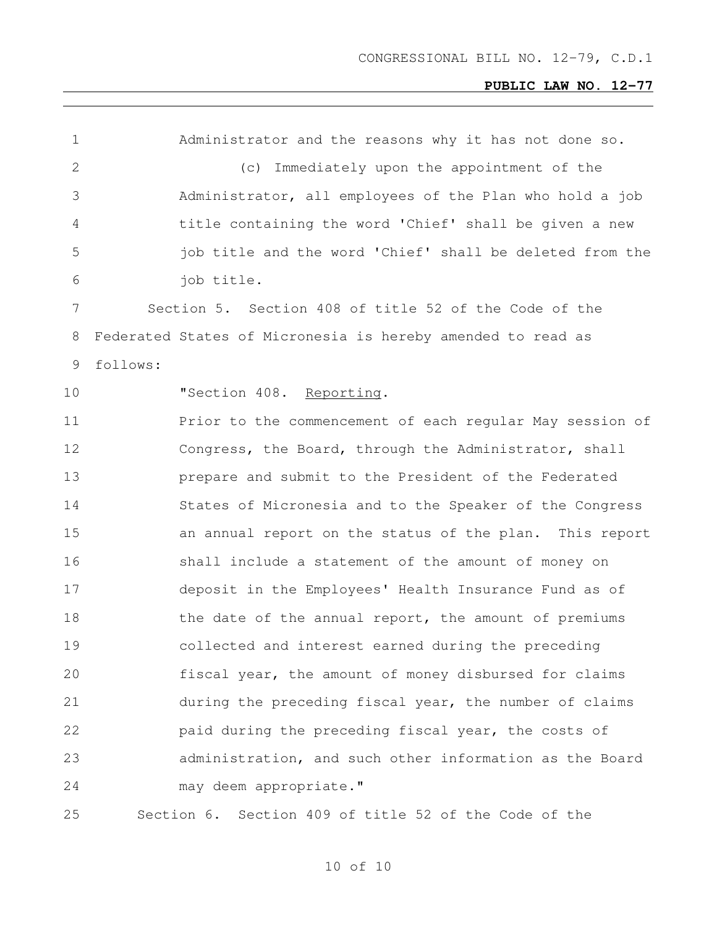| 1               |          | Administrator and the reasons why it has not done so.       |
|-----------------|----------|-------------------------------------------------------------|
| $\mathbf{2}$    |          | (c) Immediately upon the appointment of the                 |
| 3               |          | Administrator, all employees of the Plan who hold a job     |
| 4               |          | title containing the word 'Chief' shall be given a new      |
| 5               |          | job title and the word 'Chief' shall be deleted from the    |
| 6               |          | job title.                                                  |
| $7\phantom{.0}$ |          | Section 5. Section 408 of title 52 of the Code of the       |
| 8               |          | Federated States of Micronesia is hereby amended to read as |
| 9               | follows: |                                                             |
| 10              |          | "Section 408. Reporting.                                    |
| 11              |          | Prior to the commencement of each regular May session of    |
| 12              |          | Congress, the Board, through the Administrator, shall       |
| 13              |          | prepare and submit to the President of the Federated        |
| 14              |          | States of Micronesia and to the Speaker of the Congress     |
| 15              |          | an annual report on the status of the plan. This report     |
| 16              |          | shall include a statement of the amount of money on         |
| 17              |          | deposit in the Employees' Health Insurance Fund as of       |
| 18              |          | the date of the annual report, the amount of premiums       |
| 19              |          | collected and interest earned during the preceding          |
| 20              |          | fiscal year, the amount of money disbursed for claims       |
| 21              |          | during the preceding fiscal year, the number of claims      |
| 22              |          | paid during the preceding fiscal year, the costs of         |
| 23              |          | administration, and such other information as the Board     |
| 24              |          | may deem appropriate."                                      |
| 25              |          | Section 6.<br>Section 409 of title 52 of the Code of the    |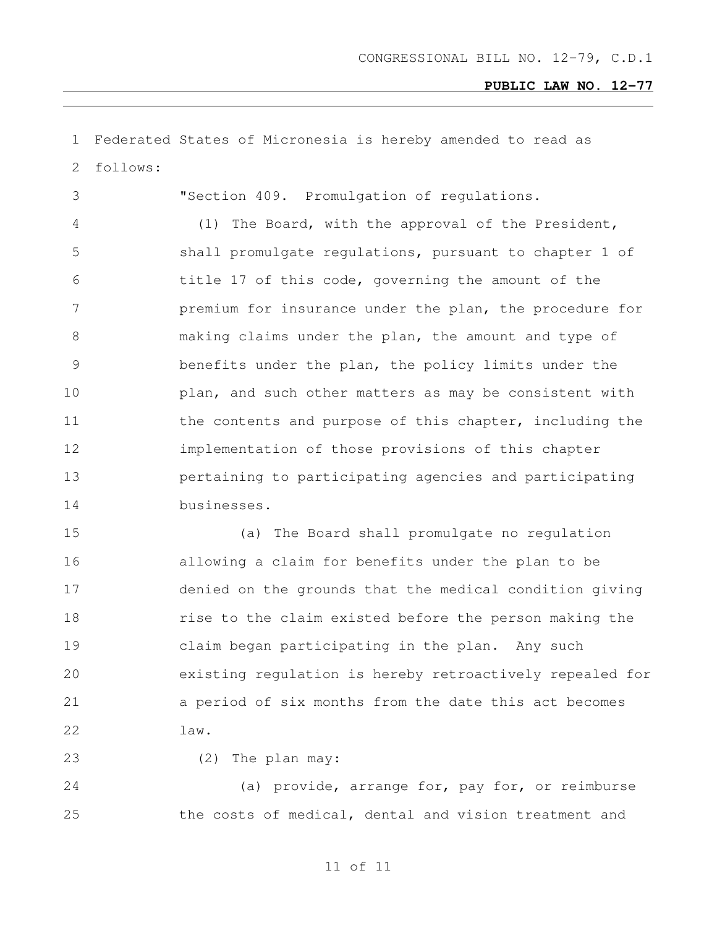Federated States of Micronesia is hereby amended to read as follows: "Section 409. Promulgation of regulations. (1) The Board, with the approval of the President, shall promulgate regulations, pursuant to chapter 1 of title 17 of this code, governing the amount of the premium for insurance under the plan, the procedure for making claims under the plan, the amount and type of benefits under the plan, the policy limits under the plan, and such other matters as may be consistent with 11 the contents and purpose of this chapter, including the implementation of those provisions of this chapter pertaining to participating agencies and participating businesses. (a) The Board shall promulgate no regulation allowing a claim for benefits under the plan to be denied on the grounds that the medical condition giving rise to the claim existed before the person making the claim began participating in the plan. Any such existing regulation is hereby retroactively repealed for a period of six months from the date this act becomes law. (2) The plan may:

 (a) provide, arrange for, pay for, or reimburse the costs of medical, dental and vision treatment and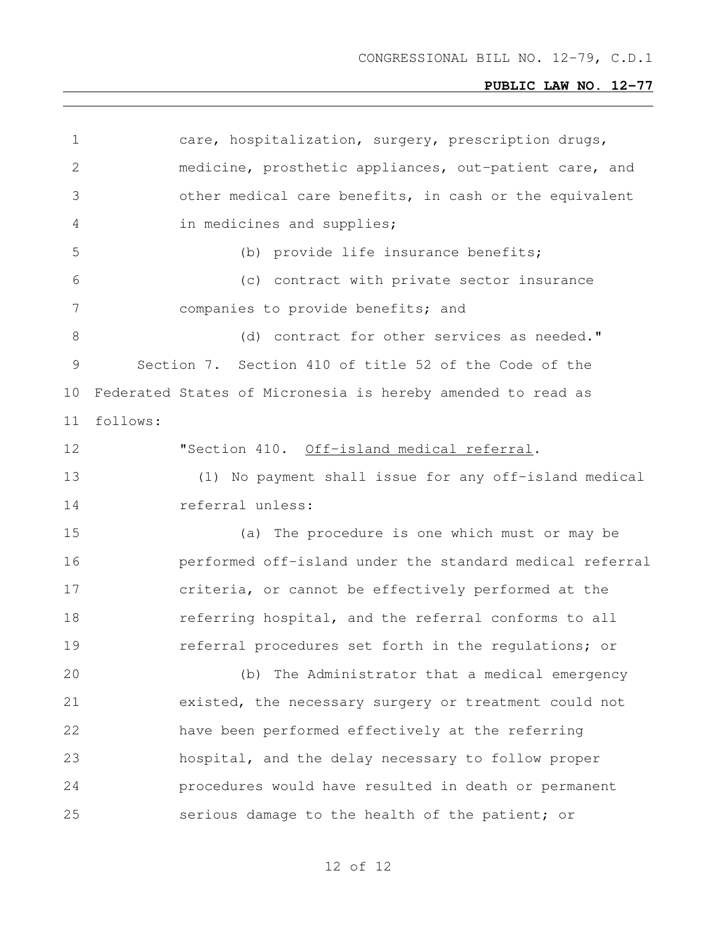| 1             | care, hospitalization, surgery, prescription drugs,         |  |  |  |  |  |
|---------------|-------------------------------------------------------------|--|--|--|--|--|
| $\mathbf{2}$  | medicine, prosthetic appliances, out-patient care, and      |  |  |  |  |  |
| 3             | other medical care benefits, in cash or the equivalent      |  |  |  |  |  |
| 4             | in medicines and supplies;                                  |  |  |  |  |  |
| 5             | (b) provide life insurance benefits;                        |  |  |  |  |  |
| 6             | (c) contract with private sector insurance                  |  |  |  |  |  |
| 7             | companies to provide benefits; and                          |  |  |  |  |  |
| 8             | (d) contract for other services as needed."                 |  |  |  |  |  |
| $\mathcal{G}$ | Section 7. Section 410 of title 52 of the Code of the       |  |  |  |  |  |
| 10            | Federated States of Micronesia is hereby amended to read as |  |  |  |  |  |
| 11            | follows:                                                    |  |  |  |  |  |
| 12            | "Section 410. Off-island medical referral.                  |  |  |  |  |  |
| 13            | (1) No payment shall issue for any off-island medical       |  |  |  |  |  |
| 14            | referral unless:                                            |  |  |  |  |  |
| 15            | The procedure is one which must or may be<br>(a)            |  |  |  |  |  |
| 16            | performed off-island under the standard medical referral    |  |  |  |  |  |
| 17            | criteria, or cannot be effectively performed at the         |  |  |  |  |  |
| 18            | referring hospital, and the referral conforms to all        |  |  |  |  |  |
| 19            | referral procedures set forth in the regulations; or        |  |  |  |  |  |
| 20            | (b) The Administrator that a medical emergency              |  |  |  |  |  |
| 21            | existed, the necessary surgery or treatment could not       |  |  |  |  |  |
| 22            | have been performed effectively at the referring            |  |  |  |  |  |
| 23            | hospital, and the delay necessary to follow proper          |  |  |  |  |  |
| 24            | procedures would have resulted in death or permanent        |  |  |  |  |  |
| 25            | serious damage to the health of the patient; or             |  |  |  |  |  |
|               |                                                             |  |  |  |  |  |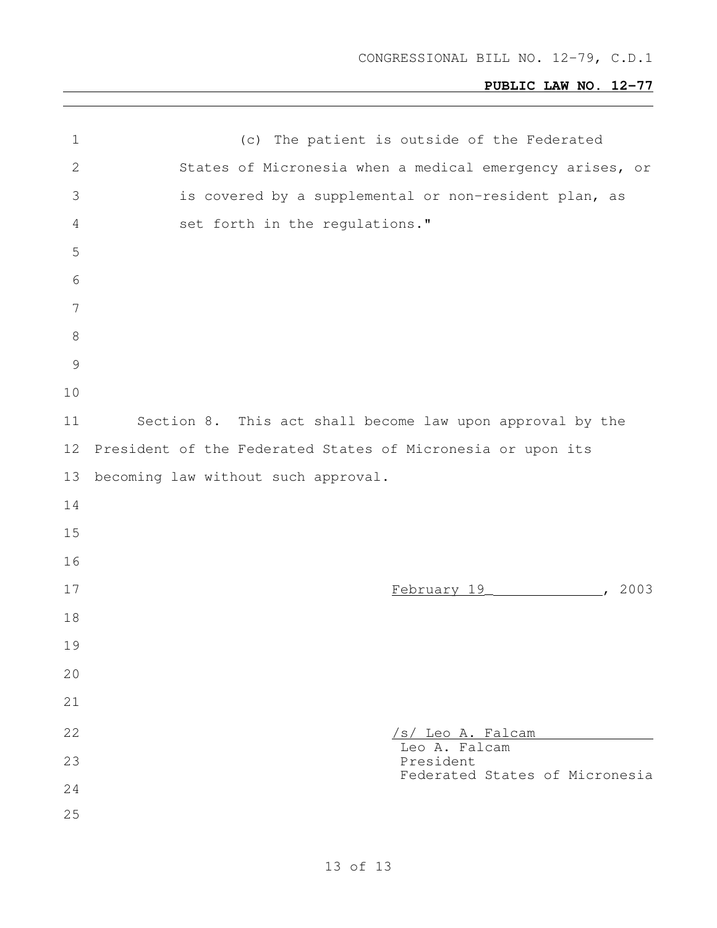| $\mathbf 1$     | (c) The patient is outside of the Federated                 |
|-----------------|-------------------------------------------------------------|
| $\mathbf{2}$    | States of Micronesia when a medical emergency arises, or    |
| 3               | is covered by a supplemental or non-resident plan, as       |
| 4               | set forth in the regulations."                              |
| 5               |                                                             |
| $\sqrt{6}$      |                                                             |
| $7\phantom{.0}$ |                                                             |
| $\,8\,$         |                                                             |
| $\mathcal{G}$   |                                                             |
| 10              |                                                             |
| 11              | Section 8. This act shall become law upon approval by the   |
| 12 <sup>°</sup> | President of the Federated States of Micronesia or upon its |
| 13              | becoming law without such approval.                         |
| 14              |                                                             |
| 15              |                                                             |
| 16              |                                                             |
| 17              | February 19 (2003)                                          |
| 18              |                                                             |
| 19              |                                                             |
| 20              |                                                             |
| 21              |                                                             |
| 22              | /s/ Leo A. Falcam                                           |
| 23              | Leo A. Falcam<br>President                                  |
| 24              | Federated States of Micronesia                              |
| 25              |                                                             |